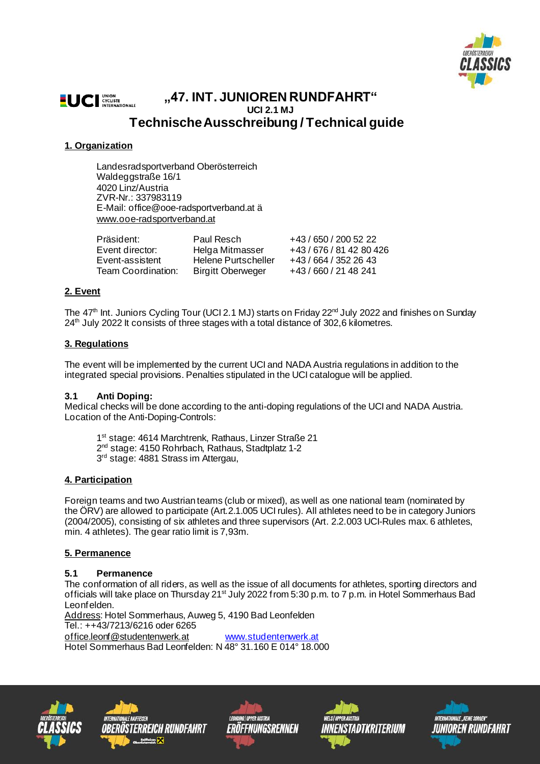

#### **LUCI** CYCLISTE **"47. INT. JUNIOREN RUNDFAHRT" UCI 2.1 MJ TechnischeAusschreibung / Technical guide**

## **1. Organization**

Landesradsportverband Oberösterreich Waldeggstraße 16/1 4020 Linz/Austria ZVR-Nr.: 337983119 E-Mail: office@ooe-radsportverband.at ä [www.ooe-radsportverband.at](http://www.ooe-radsportverband.at/)

| Präsident:         | Paul Resch                 | +43/650/2005222          |
|--------------------|----------------------------|--------------------------|
| Event director:    | Helga Mitmasser            | +43 / 676 / 81 42 80 426 |
| Event-assistent    | <b>Helene Purtscheller</b> | +43/664/3522643          |
| Team Coordination: | <b>Birgitt Oberweger</b>   | +43/660/2148241          |

## **2. Event**

The 47<sup>th</sup> Int. Juniors Cycling Tour (UCI 2.1 MJ) starts on Friday 22<sup>nd</sup> July 2022 and finishes on Sunday 24<sup>th</sup> July 2022 It consists of three stages with a total distance of 302,6 kilometres.

### **3. Regulations**

The event will be implemented by the current UCI and NADA Austria regulations in addition to the integrated special provisions. Penalties stipulated in the UCI catalogue will be applied.

#### **3.1 Anti Doping:**

Medical checks will be done according to the anti-doping regulations of the UCI and NADA Austria. Location of the Anti-Doping-Controls:

1 st stage: 4614 Marchtrenk, Rathaus, Linzer Straße 21 2<sup>nd</sup> stage: 4150 Rohrbach, Rathaus, Stadtplatz 1-2 3 rd stage: 4881 Strass im Attergau,

## **4. Participation**

Foreign teams and two Austrian teams (club or mixed), as well as one national team (nominated by the ÖRV) are allowed to participate (Art.2.1.005 UCI rules). All athletes need to be in category Juniors (2004/2005), consisting of six athletes and three supervisors (Art. 2.2.003 UCI-Rules max. 6 athletes, min. 4 athletes). The gear ratio limit is 7,93m.

#### **5. Permanence**

#### **5.1 Permanence**

The conformation of all riders, as well as the issue of all documents for athletes, sporting directors and officials will take place on Thursday 21<sup>st</sup> July 2022 from 5:30 p.m. to 7 p.m. in Hotel Sommerhaus Bad Leonfelden.

Address: Hotel Sommerhaus, Auweg 5, 4190 Bad Leonfelden Tel.: ++43/7213/6216 oder 6265

[office.leonf@studentenwerk.at](mailto:office.leonf@studentenwerk.at) [www.studentenwerk.at](http://www.studentenwerk.at/)

Hotel Sommerhaus Bad Leonfelden: N 48° 31.160 E 014° 18.000









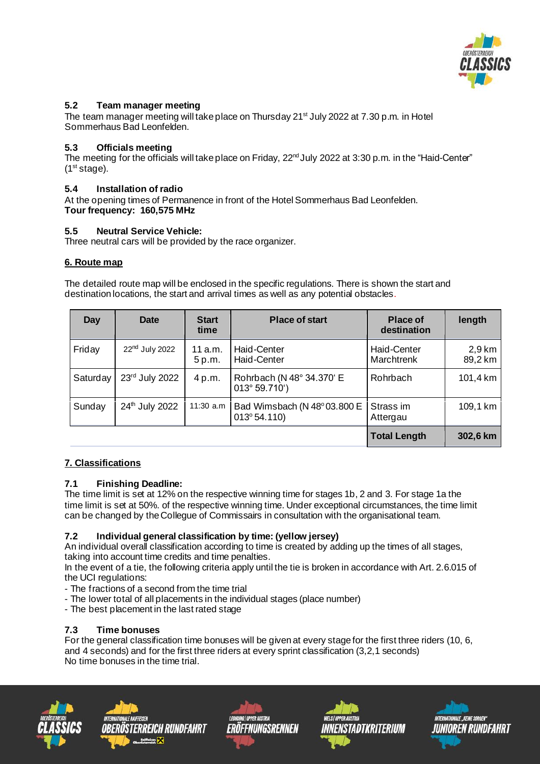

## **5.2 Team manager meeting**

The team manager meeting will take place on Thursday 21<sup>st</sup> July 2022 at 7.30 p.m. in Hotel Sommerhaus Bad Leonfelden.

## **5.3 Officials meeting**

The meeting for the officials will take place on Friday, 22<sup>nd</sup> July 2022 at 3:30 p.m. in the "Haid-Center"  $(1<sup>st</sup> stage).$ 

## **5.4 Installation of radio**

At the opening times of Permanence in front of the Hotel Sommerhaus Bad Leonfelden. **Tour frequency: 160,575 MHz**

## **5.5 Neutral Service Vehicle:**

Three neutral cars will be provided by the race organizer.

## **6. Route map**

The detailed route map will be enclosed in the specific regulations. There is shown the start and destination locations, the start and arrival times as well as any potential obstacles.

| Day      | <b>Date</b>                | <b>Start</b><br>time | <b>Place of start</b>                               | <b>Place of</b><br>destination   | length            |
|----------|----------------------------|----------------------|-----------------------------------------------------|----------------------------------|-------------------|
| Friday   | 22 <sup>nd</sup> July 2022 | 11 a.m.<br>5 p.m.    | <b>Haid-Center</b><br><b>Haid-Center</b>            | Haid-Center<br><b>Marchtrenk</b> | 2,9 km<br>89,2 km |
| Saturday | 23rd July 2022             | 4 p.m.               | Rohrbach (N 48° 34.370' E<br>013° 59.710')          | Rohrbach                         | 101,4 km          |
| Sunday   | 24th July 2022             | $11:30$ a.m          | Bad Wimsbach (N 48°03.800 E<br>$013^{\circ} 54.110$ | Strass im<br>Attergau            | 109,1 km          |
|          |                            |                      |                                                     | <b>Total Length</b>              | 302,6 km          |

## **7. Classifications**

## **7.1 Finishing Deadline:**

The time limit is set at 12% on the respective winning time for stages 1b, 2 and 3. For stage 1a the time limit is set at 50%. of the respective winning time. Under exceptional circumstances, the time limit can be changed by theCollegue of Commissairs in consultation with the organisational team.

## **7.2 Individual general classification by time: (yellow jersey)**

An individual overall classification according to time is created by adding up the times of all stages, taking into account time credits and time penalties.

In the event of a tie, the following criteria apply until the tie is broken in accordance with Art. 2.6.015 of the UCI regulations:

- The fractions of a second from the time trial
- The lower total of all placements in the individual stages (place number)
- The best placement in the last rated stage

## **7.3 Time bonuses**

For the general classification time bonuses will be given at every stage for the first three riders (10, 6, and 4 seconds) and for the first three riders at every sprint classification (3,2,1 seconds) No time bonuses in the time trial.









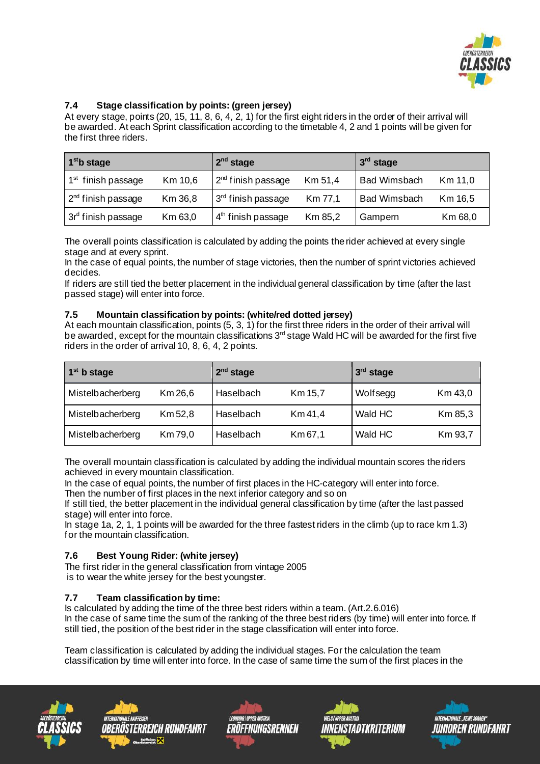

## **7.4 Stage classification by points: (green jersey)**

At every stage, points (20, 15, 11, 8, 6, 4, 2, 1) for the first eight riders in the order of their arrival will be awarded. At each Sprint classification according to the timetable 4, 2 and 1 points will be given for the first three riders.

| 1 <sup>st</sup> b stage        |         | $2nd$ stage                    |         | $3rd$ stage         |         |  |
|--------------------------------|---------|--------------------------------|---------|---------------------|---------|--|
| 1 <sup>st</sup> finish passage | Km 10,6 | $2nd$ finish passage           | Km 51,4 | <b>Bad Wimsbach</b> | Km 11,0 |  |
| 2 <sup>nd</sup> finish passage | Km 36,8 | 3 <sup>rd</sup> finish passage | Km 77,1 | <b>Bad Wimsbach</b> | Km 16,5 |  |
| 3r <sup>d</sup> finish passage | Km 63,0 | $4th$ finish passage           | Km 85,2 | Gampern             | Km 68,0 |  |

The overall points classification is calculated by adding the points therider achieved at every single stage and at every sprint.

In the case of equal points, the number of stage victories, then the number of sprint victories achieved decides.

If riders are still tied the better placement in the individual general classification by time (after the last passed stage) will enter into force.

### **7.5 Mountain classification by points: (white/red dotted jersey)**

At each mountain classification, points  $(5, 3, 1)$  for the first three riders in the order of their arrival will be awarded, except for the mountain classifications 3<sup>rd</sup> stage Wald HC will be awarded for the first five riders in the order of arrival 10, 8, 6, 4, 2 points.

| $1st$ b stage    |         | 2 <sup>nd</sup> stage |         | $3rd$ stage |         |  |
|------------------|---------|-----------------------|---------|-------------|---------|--|
| Mistelbacherberg | Km 26,6 | Haselbach             | Km 15,7 | Wolfsegg    | Km 43,0 |  |
| Mistelbacherberg | Km 52,8 | Haselbach             | Km 41,4 | Wald HC     | Km 85,3 |  |
| Mistelbacherberg | Km 79,0 | Haselbach             | Km 67,1 | Wald HC     | Km 93,7 |  |

The overall mountain classification is calculated by adding the individual mountain scores the riders achieved in every mountain classification.

In the case of equal points, the number of first places in the HC-category will enter into force. Then the number of first places in the next inferior category and so on

If still tied, the better placement in the individual general classification by time (after the last passed stage) will enter into force.

In stage 1a, 2, 1, 1 points will be awarded for the three fastest riders in the climb (up to race km 1.3) for the mountain classification.

## **7.6 Best Young Rider: (white jersey)**

The first rider in the general classification from vintage 2005 is to wear the white jersey for the best youngster.

## **7.7 Team classification by time:**

Is calculated by adding the time of the three best riders within a team. (Art.2.6.016) In the case of same time the sum of the ranking of the three best riders (by time) will enter into force. If still tied, the position of the best rider in the stage classification will enter into force.

Team classification is calculated by adding the individual stages. For the calculation the team classification by time will enter into force. In the case of same time the sum of the first places in the









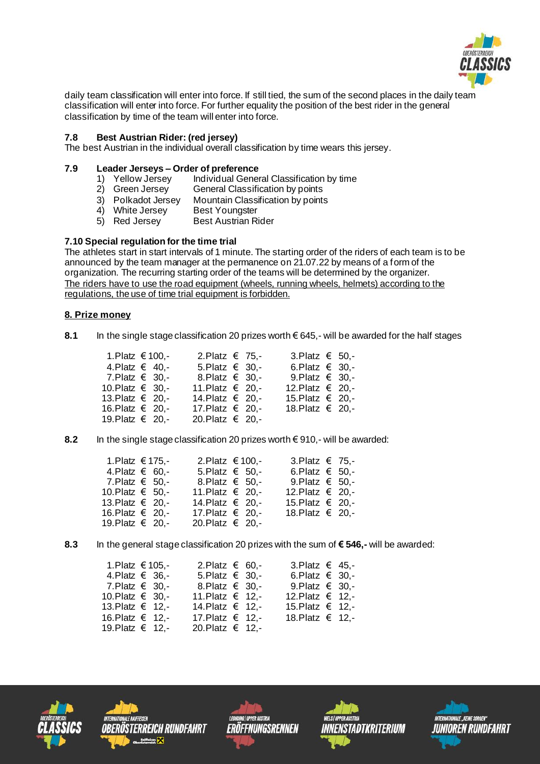

daily team classification will enter into force. If still tied, the sum of the second places in the daily team classification will enter into force. For further equality the position of the best rider in the general classification by time of the team will enter into force.

## **7.8 Best Austrian Rider: (red jersey)**

The best Austrian in the individual overall classification by time wears this jersey.

# **7.9 Leader Jerseys – Order of preference**

- 1) Yellow Jersey Individual General Classification by time<br>2) Green Jersey General Classification by points
- 2) Green Jersey General Classification by points<br>3) Polkadot Jersey Mountain Classification by points
- Mountain Classification by points<br>Best Youngster
- $4$ ) White Jersey
- 5) Red Jersey Best Austrian Rider

#### **7.10 Special regulation for the time trial**

The athletes start in start intervals of 1 minute. The starting order of the riders of each team is to be announced by the team manager at the permanence on 21.07.22 by means of a form of the organization. The recurring starting order of the teams will be determined by the organizer. The riders have to use the road equipment (wheels, running wheels, helmets) according to the regulations, the use of time trial equipment is forbidden.

#### **8. Prize money**

**8.1** In the single stage classification 20 prizes worth € 645,- will be awarded for the half stages

| 1. Platz € 100,-        | 2. Platz € 75,-     |  | 3. Platz $\epsilon$ 50. - |  |
|-------------------------|---------------------|--|---------------------------|--|
| 4.Platz $\in$ 40.-      | 5. Platz $\in$ 30,- |  | 6. Platz $\in$ 30. -      |  |
| 7.Platz $\epsilon$ 30.- | 8. Platz € 30. -    |  | 9. Platz $\epsilon$ 30. - |  |
| 10. Platz € 30, -       | 11. Platz € 20,-    |  | 12. Platz € 20 -          |  |
| 13. Platz € 20. -       | 14. Platz € 20, -   |  | 15 Platz € 20 -           |  |
| 16. Platz € 20, -       | 17. Platz € 20,-    |  | 18. Platz € 20. -         |  |
| 19. Platz € 20. -       | 20. Platz € 20,-    |  |                           |  |
|                         |                     |  |                           |  |

#### **8.2** In the single stage classification 20 prizes worth € 910,- will be awarded:

| 1. Platz € 175,-        |  | 2. Platz € 100,-          |  | 3. Platz € 75,-           |  |
|-------------------------|--|---------------------------|--|---------------------------|--|
| 4.Platz $\epsilon$ 60.- |  | 5. Platz $\epsilon$ 50. - |  | 6. Platz $\epsilon$ 50. - |  |
| 7.Platz $\epsilon$ 50.  |  | 8. Platz € 50,-           |  | 9. Platz $\epsilon$ 50. - |  |
| 10.Platz $€$ 50.-       |  | 11. Platz € 20, -         |  | 12. Platz € 20. -         |  |
| 13. Platz € 20. -       |  | 14. Platz € 20, -         |  | 15 Platz € 20 -           |  |
| 16. Platz € 20. -       |  | 17. Platz € 20,-          |  | 18 Platz $€$ 20 -         |  |
| 19. Platz € 20, -       |  | 20. Platz € 20,-          |  |                           |  |

#### **8.3** In the general stage classification 20 prizes with the sum of **€ 546,-** will be awarded:

| 1. Platz € 105,-<br>4.Platz $\epsilon$ 36.-<br>7. Platz $\epsilon$ 30. -<br>10. Platz € 30, -<br>13. Platz € 12, -<br>16. Platz € 12. - | 2. Platz € 60. -<br>5. Platz $\in$ 30,-<br>8. Platz $\in$ 30. -<br>11. Platz € 12, -<br>14. Platz € 12,-<br>17. Platz € 12, - | 3. Platz $\in$ 45.<br>6. Platz $\in$ 30. -<br>9. Platz $\in$ 30. -<br>12. Platz € 12,-<br>15. Platz € 12, -<br>18. Platz € 12. - |
|-----------------------------------------------------------------------------------------------------------------------------------------|-------------------------------------------------------------------------------------------------------------------------------|----------------------------------------------------------------------------------------------------------------------------------|
| 19. Platz € 12. -                                                                                                                       | 20. Platz € 12,-                                                                                                              |                                                                                                                                  |
|                                                                                                                                         |                                                                                                                               |                                                                                                                                  |









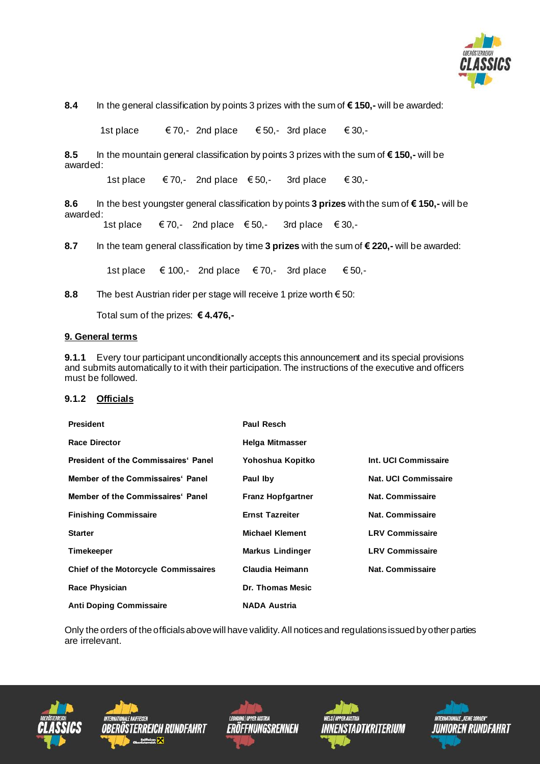

**8.4** In the general classification by points 3 prizes with the sum of **€ 150,-** will be awarded:

1st place  $€ 70,- 2$ nd place  $€ 50,- 3$ rd place  $€ 30,-$ 

**8.5** In the mountain general classification by points 3 prizes with the sum of **€ 150,-** will be awarded:

1st place  $€ 70,-$  2nd place  $€ 50,-$  3rd place  $€ 30,-$ 

**8.6** In the best youngster general classification by points **3 prizes** with the sum of **€ 150,-** will be awarded:

1st place  $€ 70,-$  2nd place  $€ 50,-$  3rd place  $€ 30,-$ 

**8.7** In the team general classification by time **3 prizes** with the sum of **€ 220,-** will be awarded:

1st place  $€ 100,-$  2nd place  $€ 70,-$  3rd place  $€ 50,-$ 

**8.8** The best Austrian rider per stage will receive 1 prize worth € 50:

Total sum of the prizes: **€ 4.476,-**

#### **9. General terms**

**9.1.1** Every tour participant unconditionally accepts this announcement and its special provisions and submits automatically to it with their participation. The instructions of the executive and officers must be followed.

#### **9.1.2 Officials**

| <b>President</b>                            | <b>Paul Resch</b>        |                             |
|---------------------------------------------|--------------------------|-----------------------------|
| <b>Race Director</b>                        | Helga Mitmasser          |                             |
| President of the Commissaires' Panel        | Yohoshua Kopitko         | Int. UCI Commissaire        |
| Member of the Commissaires' Panel           | Paul Iby                 | <b>Nat. UCI Commissaire</b> |
| Member of the Commissaires' Panel           | <b>Franz Hopfgartner</b> | Nat. Commissaire            |
| <b>Finishing Commissaire</b>                | <b>Ernst Tazreiter</b>   | Nat. Commissaire            |
| <b>Starter</b>                              | <b>Michael Klement</b>   | <b>LRV Commissaire</b>      |
| <b>Timekeeper</b>                           | <b>Markus Lindinger</b>  | <b>LRV Commissaire</b>      |
| <b>Chief of the Motorcycle Commissaires</b> | Claudia Heimann          | Nat. Commissaire            |
| <b>Race Physician</b>                       | Dr. Thomas Mesic         |                             |
| <b>Anti Doping Commissaire</b>              | <b>NADA Austria</b>      |                             |

Only the orders of the officials above will have validity. All notices and regulations issued by other parties are irrelevant.









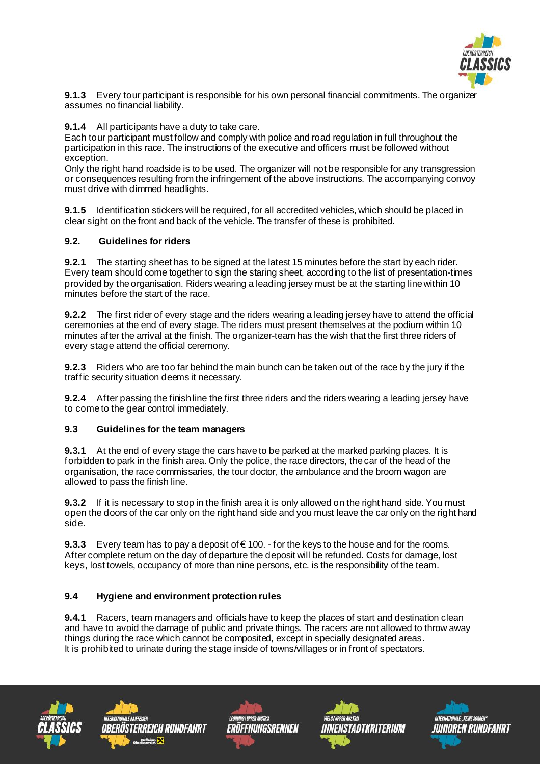

**9.1.3** Every tour participant is responsible for his own personal financial commitments. The organizer assumes no financial liability.

**9.1.4** All participants have a duty to take care.

Each tour participant must follow and comply with police and road regulation in full throughout the participation in this race. The instructions of the executive and officers must be followed without exception.

Only the right hand roadside is to be used. The organizer will not be responsible for any transgression or consequences resulting from the infringement of the above instructions. The accompanying convoy must drive with dimmed headlights.

**9.1.5** Identification stickers will be required, for all accredited vehicles, which should be placed in clear sight on the front and back of the vehicle. The transfer of these is prohibited.

## **9.2. Guidelines for riders**

**9.2.1** The starting sheet has to be signed at the latest 15 minutes before the start by each rider. Every team should come together to sign the staring sheet, according to the list of presentation-times provided by the organisation. Riders wearing a leading jersey must be at the starting linewithin 10 minutes before the start of the race.

**9.2.2** The first rider of every stage and the riders wearing a leading jersey have to attend the official ceremonies at the end of every stage. The riders must present themselves at the podium within 10 minutes after the arrival at the finish. The organizer-team has the wish that the first three riders of every stage attend the official ceremony.

**9.2.3** Riders who are too far behind the main bunch can be taken out of the race by the jury if the traffic security situation deems it necessary.

**9.2.4** After passing the finish line the first three riders and the riders wearing a leading jersey have to come to the gear control immediately.

#### **9.3 Guidelines for the team managers**

**9.3.1** At the end of every stage the cars have to be parked at the marked parking places. It is forbidden to park in the finish area. Only the police, the race directors, thecar of the head of the organisation, the race commissaries, the tour doctor, the ambulance and the broom wagon are allowed to pass the finish line.

**9.3.2** If it is necessary to stop in the finish area it is only allowed on the right hand side. You must open the doors of the car only on the right hand side and you must leave the car only on the right hand side.

**9.3.3** Every team has to pay a deposit of €100. - for the keys to the house and for the rooms. After complete return on the day of departure the deposit will be refunded. Costs for damage, lost keys, lost towels, occupancy of more than nine persons, etc. is the responsibility of the team.

## **9.4 Hygiene and environment protection rules**

**9.4.1** Racers, team managers and officials have to keep the places of start and destination clean and have to avoid the damage of public and private things. The racers are not allowed to throw away things during the race which cannot be composited, except in specially designated areas. It is prohibited to urinate during the stage inside of towns/villages or in front of spectators.









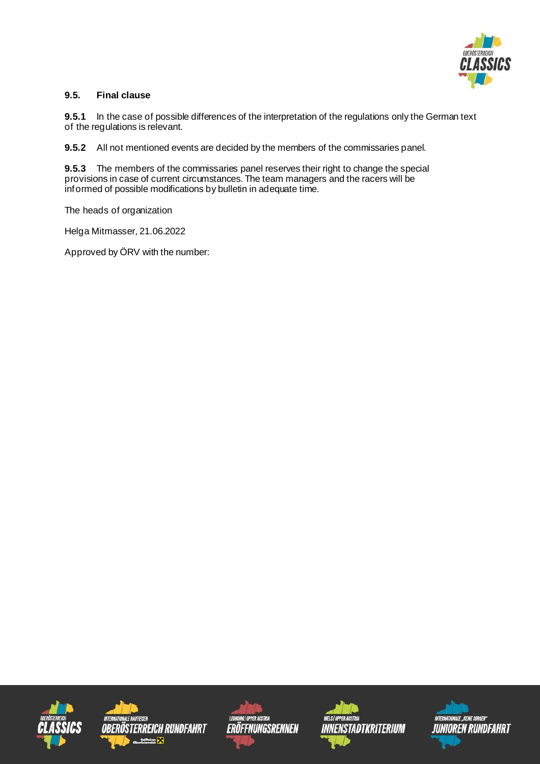

## **9.5. Final clause**

**9.5.1** In the case of possible differences of the interpretation of the regulations only the German text of the regulations is relevant.

**9.5.2** All not mentioned events are decided by the members of the commissaries panel.

**9.5.3** The members of the commissaries panel reserves their right to change the special provisions in case of current circumstances. The team managers and the racers will be informed of possible modifications by bulletin in adequate time.

The heads of organization

Helga Mitmasser, 21.06.2022

Approved by ÖRV with the number: